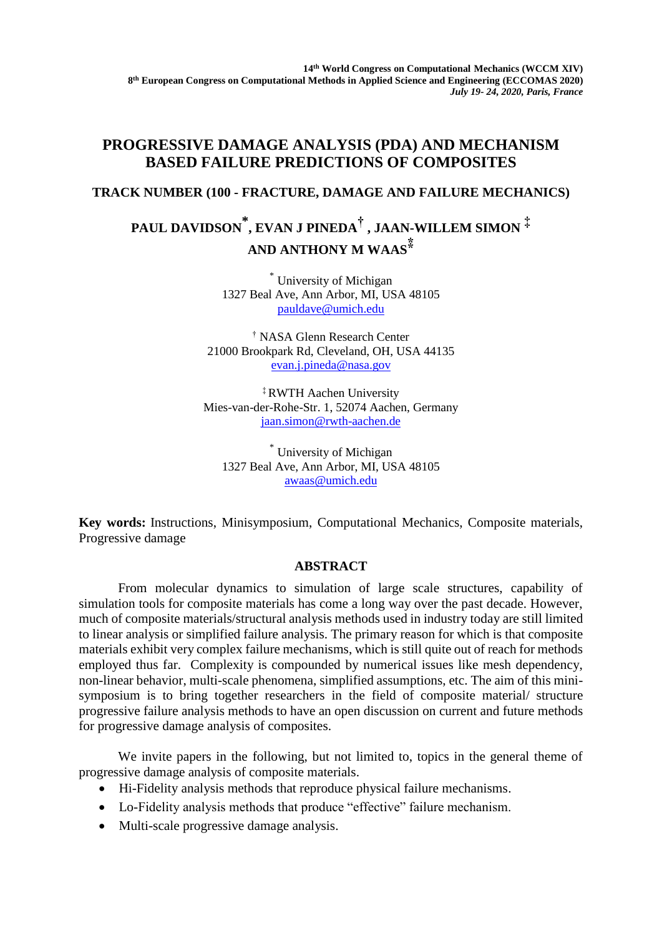## **PROGRESSIVE DAMAGE ANALYSIS (PDA) AND MECHANISM BASED FAILURE PREDICTIONS OF COMPOSITES**

## **TRACK NUMBER (100 - FRACTURE, DAMAGE AND FAILURE MECHANICS)**

## **PAUL DAVIDSON \* , EVAN J PINEDA† , JAAN-WILLEM SIMON ‡ AND ANTHONY M WAAS⁑**

\* University of Michigan 1327 Beal Ave, Ann Arbor, MI, USA 48105 [pauldave@umich.edu](mailto:pauldave@umich.edu)

† NASA Glenn Research Center 21000 Brookpark Rd, Cleveland, OH, USA 44135 [evan.j.pineda@nasa.gov](mailto:evan.j.pineda@nasa.gov)

‡ RWTH Aachen University Mies-van-der-Rohe-Str. 1, 52074 Aachen, Germany [jaan.simon@rwth-aachen.de](mailto:jaan.simon@rwth-aachen.de)

\* University of Michigan 1327 Beal Ave, Ann Arbor, MI, USA 48105 [awaas@umich.edu](mailto:awaas@umich.edu)

**Key words:** Instructions, Minisymposium, Computational Mechanics, Composite materials, Progressive damage

## **ABSTRACT**

From molecular dynamics to simulation of large scale structures, capability of simulation tools for composite materials has come a long way over the past decade. However, much of composite materials/structural analysis methods used in industry today are still limited to linear analysis or simplified failure analysis. The primary reason for which is that composite materials exhibit very complex failure mechanisms, which is still quite out of reach for methods employed thus far. Complexity is compounded by numerical issues like mesh dependency, non-linear behavior, multi-scale phenomena, simplified assumptions, etc. The aim of this minisymposium is to bring together researchers in the field of composite material/ structure progressive failure analysis methods to have an open discussion on current and future methods for progressive damage analysis of composites.

We invite papers in the following, but not limited to, topics in the general theme of progressive damage analysis of composite materials.

- Hi-Fidelity analysis methods that reproduce physical failure mechanisms.
- Lo-Fidelity analysis methods that produce "effective" failure mechanism.
- Multi-scale progressive damage analysis.